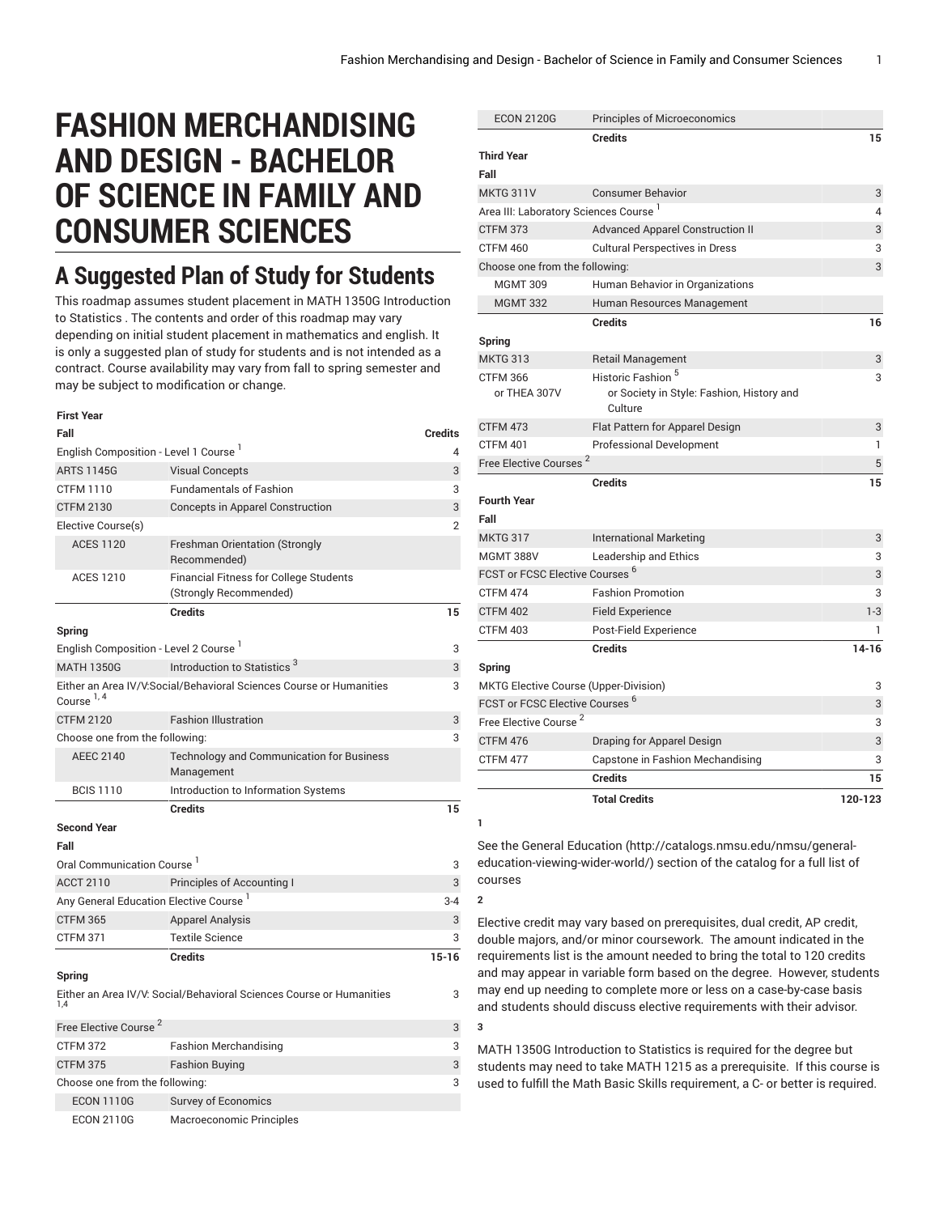# **FASHION MERCHANDISING AND DESIGN - BACHELOR OF SCIENCE IN FAMILY AND CONSUMER SCIENCES**

## **A Suggested Plan of Study for Students**

This roadmap assumes student placement in MATH 1350G Introduction to Statistics . The contents and order of this roadmap may vary depending on initial student placement in mathematics and english. It is only a suggested plan of study for students and is not intended as a contract. Course availability may vary from fall to spring semester and may be subject to modification or change.

#### **First Year**

| Fall                                               |                                                                         | Credits        |
|----------------------------------------------------|-------------------------------------------------------------------------|----------------|
| English Composition - Level 1 Course <sup>1</sup>  |                                                                         | 4              |
| <b>ARTS 1145G</b>                                  | <b>Visual Concepts</b>                                                  | 3              |
| <b>CTFM 1110</b>                                   | <b>Fundamentals of Fashion</b>                                          | 3              |
| <b>CTFM 2130</b>                                   | <b>Concepts in Apparel Construction</b>                                 | 3              |
| Elective Course(s)                                 |                                                                         | $\overline{2}$ |
| <b>ACES 1120</b>                                   | <b>Freshman Orientation (Strongly</b><br>Recommended)                   |                |
| <b>ACES 1210</b>                                   | <b>Financial Fitness for College Students</b><br>(Strongly Recommended) |                |
|                                                    | <b>Credits</b>                                                          | 15             |
| Spring                                             |                                                                         |                |
| English Composition - Level 2 Course <sup>1</sup>  |                                                                         | 3              |
| <b>MATH 1350G</b>                                  | Introduction to Statistics <sup>3</sup>                                 | 3              |
| Course <sup>1, 4</sup>                             | Either an Area IV/V:Social/Behavioral Sciences Course or Humanities     | 3              |
| <b>CTFM 2120</b>                                   | <b>Fashion Illustration</b>                                             | 3              |
| Choose one from the following:                     |                                                                         | 3              |
| <b>AEEC 2140</b>                                   | <b>Technology and Communication for Business</b><br>Management          |                |
| <b>BCIS 1110</b>                                   | Introduction to Information Systems                                     |                |
|                                                    | <b>Credits</b>                                                          | 15             |
| <b>Second Year</b>                                 |                                                                         |                |
| Fall                                               |                                                                         |                |
| Oral Communication Course <sup>1</sup>             |                                                                         | 3              |
| <b>ACCT 2110</b>                                   | Principles of Accounting I                                              | 3              |
| Any General Education Elective Course <sup>1</sup> |                                                                         | $3 - 4$        |
| <b>CTFM 365</b>                                    | <b>Apparel Analysis</b>                                                 | 3              |
| <b>CTFM 371</b>                                    | <b>Textile Science</b>                                                  | 3              |
|                                                    | <b>Credits</b>                                                          | $15 - 16$      |
| Spring                                             |                                                                         |                |
| 1.4                                                | Either an Area IV/V: Social/Behavioral Sciences Course or Humanities    | 3              |
| Free Elective Course <sup>2</sup>                  |                                                                         | 3              |
| <b>CTFM 372</b>                                    | Fashion Merchandising                                                   | 3              |
|                                                    |                                                                         |                |

| CTFM 375                       | <b>Fashion Buying</b>    | 3 |
|--------------------------------|--------------------------|---|
| Choose one from the following: |                          | 3 |
| <b>ECON 1110G</b>              | Survey of Economics      |   |
| <b>ECON 2110G</b>              | Macroeconomic Principles |   |

|                                                                      | <b>Total Credits</b>                                                       | 120-123             |
|----------------------------------------------------------------------|----------------------------------------------------------------------------|---------------------|
|                                                                      | <b>Credits</b>                                                             | 15                  |
| <b>CTFM 477</b>                                                      | Capstone in Fashion Mechandising                                           | 3                   |
| CTFM 476                                                             | Draping for Apparel Design                                                 | 3                   |
| Free Elective Course <sup>2</sup>                                    |                                                                            | 3                   |
| FCST or FCSC Elective Courses <sup>6</sup>                           |                                                                            | 3                   |
| Spring<br>MKTG Elective Course (Upper-Division)                      | <b>Credits</b>                                                             | $14 - 16$<br>3      |
| <b>CTFM 403</b>                                                      | Post-Field Experience                                                      | 1                   |
| <b>CTFM 402</b>                                                      | <b>Field Experience</b>                                                    | $1 - 3$             |
| <b>CTFM 474</b>                                                      | <b>Fashion Promotion</b>                                                   | 3                   |
| FCST or FCSC Elective Courses <sup>6</sup>                           |                                                                            | 3                   |
| <b>MGMT 388V</b>                                                     | Leadership and Ethics                                                      | 3                   |
| <b>MKTG 317</b>                                                      | <b>International Marketing</b>                                             | 3                   |
| <b>Fourth Year</b><br>Fall                                           |                                                                            |                     |
|                                                                      | <b>Credits</b>                                                             | 15                  |
| Free Elective Courses <sup>2</sup>                                   |                                                                            | 5                   |
| <b>CTFM 401</b>                                                      | <b>Professional Development</b>                                            | 1                   |
| CTFM 473                                                             | Culture<br>Flat Pattern for Apparel Design                                 | 3                   |
| <b>CTFM 366</b><br>or THEA 307V                                      | Historic Fashion <sup>5</sup><br>or Society in Style: Fashion, History and | 3                   |
| <b>MKTG 313</b>                                                      | <b>Retail Management</b>                                                   | 3                   |
| Spring                                                               |                                                                            | 16                  |
|                                                                      | <b>Credits</b>                                                             |                     |
| <b>MGMT 332</b>                                                      | Human Behavior in Organizations<br>Human Resources Management              |                     |
| <b>MGMT 309</b>                                                      |                                                                            |                     |
| Choose one from the following:                                       | <b>Cultural Perspectives in Dress</b>                                      | 3                   |
| <b>CTFM 460</b>                                                      | <b>Advanced Apparel Construction II</b>                                    | 3                   |
| Area III: Laboratory Sciences Course <sup>1</sup><br><b>CTFM 373</b> |                                                                            | 3                   |
| <b>MKTG 311V</b>                                                     | <b>Consumer Behavior</b>                                                   | 3<br>$\overline{4}$ |
| Fall                                                                 |                                                                            |                     |
| <b>Third Year</b>                                                    | <b>Credits</b>                                                             | 15                  |
| <b>ECON 2120G</b>                                                    | Principles of Microeconomics                                               |                     |

See the General [Education](http://catalogs.nmsu.edu/nmsu/general-education-viewing-wider-world/) ([http://catalogs.nmsu.edu/nmsu/general](http://catalogs.nmsu.edu/nmsu/general-education-viewing-wider-world/)[education-viewing-wider-world/\)](http://catalogs.nmsu.edu/nmsu/general-education-viewing-wider-world/) section of the catalog for a full list of courses

**1**

**2**

**3**

Elective credit may vary based on prerequisites, dual credit, AP credit, double majors, and/or minor coursework. The amount indicated in the requirements list is the amount needed to bring the total to 120 credits and may appear in variable form based on the degree. However, students may end up needing to complete more or less on a case-by-case basis and students should discuss elective requirements with their advisor.

MATH 1350G Introduction to Statistics is required for the degree but students may need to take MATH 1215 as a prerequisite. If this course is used to fulfill the Math Basic Skills requirement, a C- or better is required.